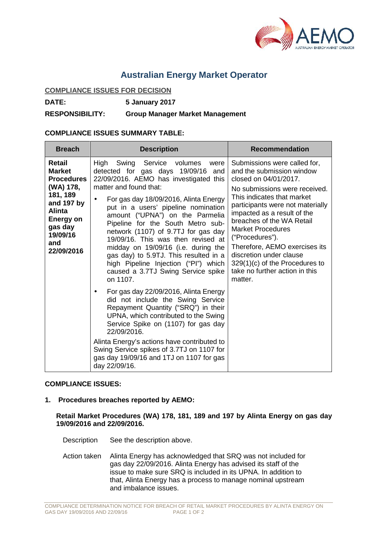

## **Australian Energy Market Operator**

## **COMPLIANCE ISSUES FOR DECISION**

**DATE: 5 January 2017**

**RESPONSIBILITY: Group Manager Market Management**

## **COMPLIANCE ISSUES SUMMARY TABLE:**

| <b>Breach</b>                                                                                                                                                 | <b>Description</b>                                                                                                                                                                                                                                                                                                                                                                                                                                                                                                                                                     | <b>Recommendation</b>                                                                                                                                                                                                                                                                                                                                                                                                                         |
|---------------------------------------------------------------------------------------------------------------------------------------------------------------|------------------------------------------------------------------------------------------------------------------------------------------------------------------------------------------------------------------------------------------------------------------------------------------------------------------------------------------------------------------------------------------------------------------------------------------------------------------------------------------------------------------------------------------------------------------------|-----------------------------------------------------------------------------------------------------------------------------------------------------------------------------------------------------------------------------------------------------------------------------------------------------------------------------------------------------------------------------------------------------------------------------------------------|
| Retail<br><b>Market</b><br><b>Procedures</b><br>(WA) 178,<br>181, 189<br>and 197 by<br><b>Alinta</b><br>Energy on<br>gas day<br>19/09/16<br>and<br>22/09/2016 | High<br>Swing Service volumes<br>were<br>detected for gas days 19/09/16<br>and<br>22/09/2016. AEMO has investigated this<br>matter and found that:<br>For gas day 18/09/2016, Alinta Energy<br>٠<br>put in a users' pipeline nomination<br>amount ("UPNA") on the Parmelia<br>Pipeline for the South Metro sub-<br>network (1107) of 9.7TJ for gas day<br>19/09/16. This was then revised at<br>midday on 19/09/16 (i.e. during the<br>gas day) to 5.9TJ. This resulted in a<br>high Pipeline Injection ("Pl") which<br>caused a 3.7TJ Swing Service spike<br>on 1107. | Submissions were called for,<br>and the submission window<br>closed on 04/01/2017.<br>No submissions were received.<br>This indicates that market<br>participants were not materially<br>impacted as a result of the<br>breaches of the WA Retail<br><b>Market Procedures</b><br>("Procedures").<br>Therefore, AEMO exercises its<br>discretion under clause<br>$329(1)(c)$ of the Procedures to<br>take no further action in this<br>matter. |
|                                                                                                                                                               | For gas day 22/09/2016, Alinta Energy<br>٠<br>did not include the Swing Service<br>Repayment Quantity ("SRQ") in their<br>UPNA, which contributed to the Swing<br>Service Spike on (1107) for gas day<br>22/09/2016.<br>Alinta Energy's actions have contributed to<br>Swing Service spikes of 3.7TJ on 1107 for<br>gas day 19/09/16 and 1TJ on 1107 for gas<br>day 22/09/16.                                                                                                                                                                                          |                                                                                                                                                                                                                                                                                                                                                                                                                                               |

## **COMPLIANCE ISSUES:**

**1. Procedures breaches reported by AEMO:**

**Retail Market Procedures (WA) 178, 181, 189 and 197 by Alinta Energy on gas day 19/09/2016 and 22/09/2016.**

Description See the description above.

Action taken Alinta Energy has acknowledged that SRQ was not included for gas day 22/09/2016. Alinta Energy has advised its staff of the issue to make sure SRQ is included in its UPNA. In addition to that, Alinta Energy has a process to manage nominal upstream and imbalance issues.